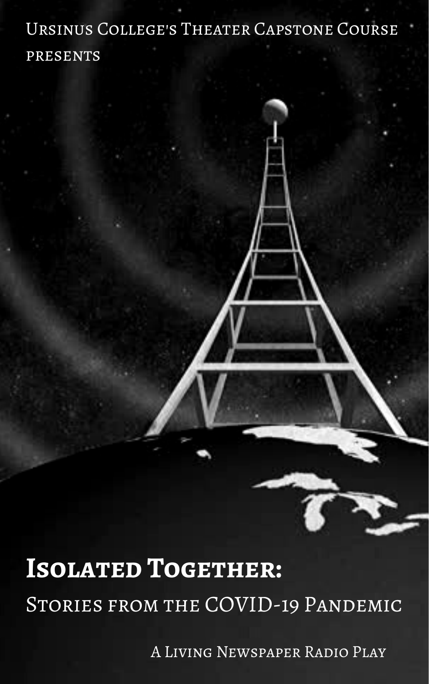# Ursinus College's Theater Capstone Course presents

# **Isolated Together:** STORIES FROM THE COVID-19 PANDEMIC

A Living Newspaper Radio Play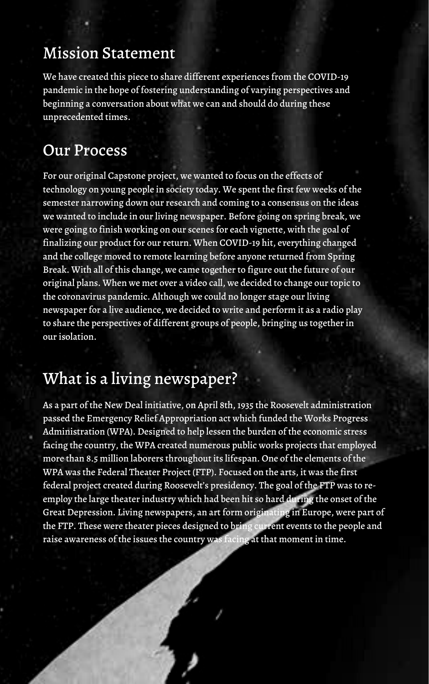As a part of the New Deal initiative, on April 8th, 1935 the Roosevelt administration passed the Emergency Relief Appropriation act which funded the Works Progress Administration (WPA). Designed to help lessen the burden of the economic stress facing the country, the WPA created numerous public works projects that employed more than 8.5 million laborers throughout its lifespan. One of the elements of the WPA was the Federal Theater Project (FTP). Focused on the arts, it was the first federal project created during Roosevelt's presidency. The goal of the FTP was to reemploy the large theater industry which had been hit so hard during the onset of the Great Depression. Living newspapers, an art form originating in Europe, were part of the FTP. These were theater pieces designed to bring current events to the people and raise awareness of the issues the country was facing at that moment in time.

For our original Capstone project, we wanted to focus on the effects of technology on young people in society today. We spent the first few weeks of the semester narrowing down our research and coming to a consensus on the ideas we wanted to include in our living newspaper. Before going on spring break, we were going to finish working on our scenes for each vignette, with the goal of finalizing our product for our return. When COVID-19 hit, everything changed and the college moved to remote learning before anyone returned from Spring Break. With all of this change, we came together to figure out the future of our original plans. When we met over a video call, we decided to change ourtopic to the coronavirus pandemic. Although we could no longer stage our living newspaper for a live audience, we decided to write and perform it as a radio play to share the perspectives of different groups of people, bringing us togetherin our isolation.

# What is a living newspaper?

# Our Process

# Mission Statement

We have created this piece to share different experiences from the COVID-19 pandemic in the hope of fostering understanding of varying perspectives and beginning a conversation about what we can and should do during these unprecedented times.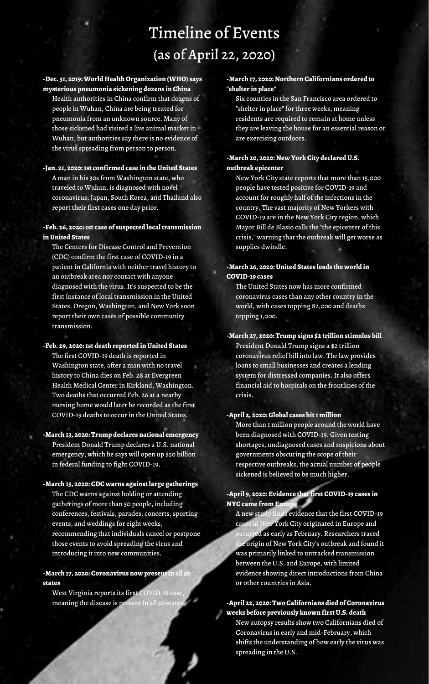# Timeline of Events (as of April 22, 2020)

## **-Dec. 31, 2019:World HealthOrganization (WHO) says mysterious pneumonia sickening dozens in China**

A man in his 30s from Washington state, who traveled to Wuhan, is diagnosed with novel coronavirus. Japan, South Korea, and Thailand also report their first cases one day prior.

Health authorities in China confirm that dozens of people in Wuhan, China are being treated for pneumonia from an unknown source. Many of those sickened had visited a live animal market in Wuhan, but authorities say there is no evidence of the virus spreading from person to person.

#### **-Jan. 21, 2020:1st confirmed case in theUnited States**

## **-Feb. 26, 2020:1st case of suspected localtransmission inUnited States**

The Centers for Disease Control and Prevention (CDC) confirm the first case of COVID-19 in a patient in California with neither travel history to an outbreak area nor contact with anyone diagnosed with the virus. It's suspected to be the first instance of local transmission in the United States. Oregon, Washington, and New York soon report their own cases of possible community transmission.

West Virginia reports its first COVID-19 case, meaning the disease is present in all 50 states

## **-Feb. 29, 2020:1st death reported inUnited States** The first COVID-19 death is reported in

- Washington state, after a man with no travel history to China dies on Feb. 28 at Evergreen Health Medical Center in Kirkland, Washington. Two deaths that occurred Feb. 26 at a nearby nursing home would later be recorded as the first COVID-19 deaths to occur in the United States.
- **-March 13, 2020: Trump declares national emergency** President Donald Trump declares a U.S. national emergency, which he says will open up \$50 billion in federal funding to fight COVID-19.

### **-March 15, 2020: CDC warns againstlarge gatherings**

## **-April 9, 2020: Evidence thatfirst COVID-19 cases in NYC** came from Euro

The CDC warns against holding or attending gatherings of more than 50 people, including conferences, festivals, parades, concerts, sporting events, and weddings for eight weeks, recommending that individuals cancel or postpone those events to avoid spreading the virus and introducing it into new communities.

### **-March 17, 2020: Coronavirus now presentin all 50 states**

### **-March 17, 2020: Northern Californians ordered to "shelter in place"**

Six counties in the San Francisco area ordered to "shelter in place" for three weeks, meaning residents are required to remain at home unless they are leaving the house for an essential reason or are exercising outdoors.

### **-March 20, 2020: New York City declaredU.S. outbreak epicenter**

New York City state reports that more than 15,000 people have tested positive for COVID-19 and account for roughly half of the infections in the country. The vast majority of New Yorkers with COVID-19 are in the New York City region, which Mayor Bill de Blasio calls the "the epicenter of this crisis," warning that the outbreak will get worse as supplies dwindle.

## **-March 26, 2020:United States leads the world in COVID-19 cases**

The United States now has more confirmed coronavirus cases than any other country in the world, with cases topping 82,000 and deaths topping 1,000.

# **-March 27, 2020: Trump signs \$2 trillion stimulus bill**

President Donald Trump signs a \$2 trillion coronavirus relief bill into law. The law provides loans to small businesses and creates a lending system for distressed companies. It also offers financial aid to hospitals on the frontlines of the crisis.

#### **-April 2, 2020:Global cases hit1 million**

More than 1 million people around the world have been diagnosed with COVID-19. Given testing shortages, undiagnosed cases and suspicions about governments obscuring the scope of their respective outbreaks, the actual number of people sickened is believed to be much higher.

A new study finds evidence that the first COVID-19 cases in New York City originated in Europe and occurred as early as February. Researchers traced the origin of New York City's outbreak and found it was primarily linked to untracked transmission between the U.S. and Europe, with limited evidence showing direct introductions from China or other countries in Asia.

## **-April 22, 2020: Two Californians died of Coronavirus weeks before previously known firstU.S. death**

New autopsy results show two Californians died of Coronavirus in early and mid-February, which shifts the understanding of how early the virus was spreading in the U.S.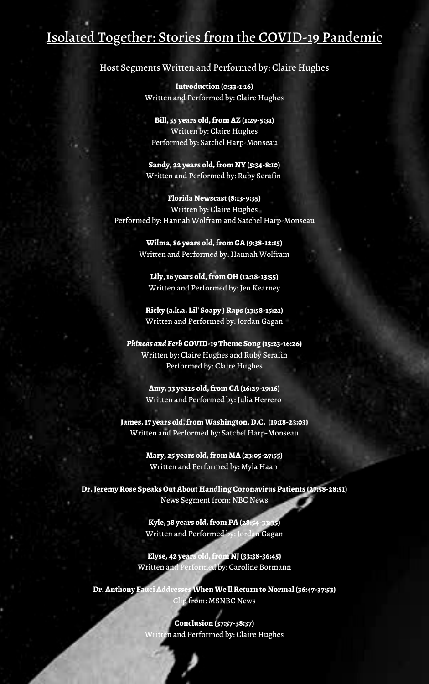# Isolated Together: Stories from the COVID-19 Pandemic

## Host Segments Written and Performed by: Claire Hughes

**Introduction (0:33-1:16)** Written and Performed by: Claire Hughes

**Bill, 55 years old,from AZ (1:29-5:31)** Written by: Claire Hughes Performed by: Satchel Harp-Monseau

**Sandy, 22 years old,from NY (5:34-8:10)** Written and Performed by: Ruby Serafin

**Florida Newscast(8:13-9:35)** Written by: Claire Hughes Performed by: Hannah Wolfram and Satchel Harp-Monseau

> **Wilma, 86 years old,from GA(9:38-12:15)** Written and Performed by: Hannah Wolfram

**Lily,16 years old,from OH (12:18-13:55)** Written and Performed by: Jen Kearney

**Ricky (a.k.a. Lil' Soapy )Raps (13:58-15:21)** Written and Performed by: Jordan Gagan

*Phineas and Ferb* **COVID-19 Theme Song (15:23-16:26)** Written by: Claire Hughes and Ruby Serafin

Performed by: Claire Hughes

**Amy, 33 years old,from CA(16:29-19:16)** Written and Performed by: Julia Herrero

**James,17 years old,fromWashington,D.C. (19:18-23:03)** Written and Performed by: Satchel Harp-Monseau

> **Mary, 25 years old,from MA(23:05-27:55)** Written and Performed by: Myla Haan

**Dr.JeremyRose SpeaksOutAbout Handling Coronavirus Patients (27:58-28:51)** News Segment from: NBC News

> **Kyle, 38 years old,from PA(28:54-33:35)** Written and Performed by: Jordan Gagan

**Elyse, 42 years old,from NJ(33:38-36:45)** Written and Performed by: Caroline Bormann

**Dr.Anthony FauciAddressesWhenWe'llReturn to Normal (36:47-37:53)** Clip from: MSNBC News

> **Conclusion (37:57-38:37)** Written and Performed by: Claire Hughes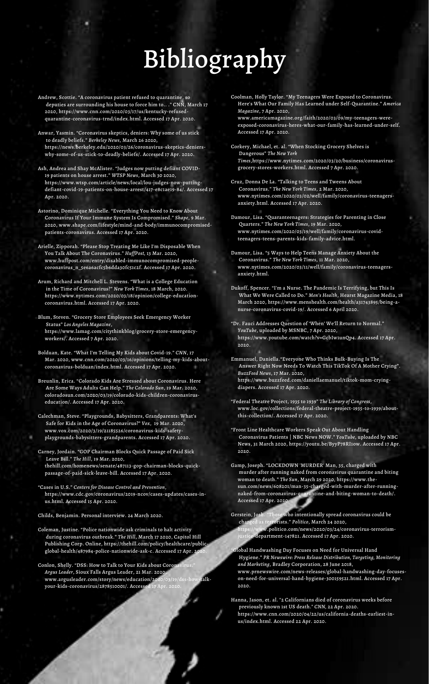- Andrew, Scottie. "A coronavirus patient refused to quarantine, so deputies are surrounding his house to force him to.. ." CNN, March 17 2020, https://www.cnn.com/2020/03/17/us/kentucky-refusedquarantine-coronavirus-trnd/index.html. Accessed 17 Apr. 2020.
- Anwar, Yasmin. "Coronavirus skeptics, deniers: Why some of us stick to deadly beliefs." *Berkeley News*, March 26 2020, https://news.berkeley.edu/2020/03/26/coronavirus-skeptics-denierswhy-some-of-us-stick-to-deadly-beliefs/. Accessed 17 Apr. 2020.
- Ash, Andrea and Shay McAlister. "Judges now putting defiant COVID-19 patients on house arrest." *WTSP News*, March 30 2020, https://www.wtsp.com/article/news/local/lou-judges-now-puttingdefiant-covid-19-patients-on-house-arrest/417-e8c1ae19-84/. Accessed 17 Apr. 2020.
- Astorino, Dominique Michelle. "Everything You Need to Know About Coronavirus If Your Immune System Is Compromised." *Shape*, 9 Mar. 2020, www.shape.com/lifestyle/mind-and-body/immunocompromisedpatients-coronavirus. Accessed 17 Apr. 2020.
- Arielle, Zipporah. "Please Stop Treating Me Like I'm Disposable When You Talk About The Coronavirus." *HuffPost,* 13 Mar. 2020, www.huffpost.com/entry/disabled-immunocompromised-peoplecoronavirus\_n\_5e6a6acfc5b6dda30fc51c2f. Accessed 17 Apr. 2020.
- Arum, Richard and Mitchell L. Stevens. "What is a College Education in the Time of Coronavirus?" *New York Times*, 18 March, 2020. https://www.nytimes.com/2020/03/18/opinion/college-educationcoronavirus.html. Accessed 17 Apr. 2020.
- Blum, Steven. "Grocery Store Employees Seek Emergency Worker Status" *Los Angeles Magazine*, https://www.lamag.com/citythinkblog/grocery-store-emergencyworkers/. Accessed 7 Apr. 2020.
- Bolduan, Kate. "What I'm Telling My Kids about Covid-19." *CNN*, 17 Mar. 2020, www.cnn.com/2020/03/16/opinions/telling-my-kids-aboutcoronavirus-bolduan/index.html. Accessed 17 Apr. 2020.

Childs, Benjamin. Personal interview. 24 March 2020.

- Coleman, Justine. "Police nationwide ask criminals to halt activity during coronavirus outbreak." *The Hill*, March 17 2020, Capitol Hill Publishing Corp. Online, https://thehill.com/policy/healthcare/publicglobal-health/487984-police-nationwide-ask-c. Accessed 17 Apr. 2020.
- Conlon, Shelly. "DSS: How to Talk to Your Kids about Coronavirus." *Argus Leader*, Sioux Falls Argus Leader, 21 Mar. 2020, www.argusleader.com/story/news/education/2020/03/19/dss-how-talkyour-kids-coronavirus/2878510001/. Accessed 17 Apr. 2020.
- Cruz, Donna De La. "Talking to Teens and Tweens About Coronavirus." *The New York Times*, 2 Mar. 2020, www.nytimes.com/2020/03/02/well/family/coronavirus-teenagersanxiety.html. Accessed 17 Apr. 2020.
- Damour, Lisa. "Quaranteenagers: Strategies for Parenting in Close Quarters." *The New York Times*, 19 Mar. 2020, www.nytimes.com/2020/03/19/well/family/coronavirus-covidteenagers-teens-parents-kids-family-advice.html.
- Damour, Lisa. "5 Ways to Help Teens Manage Anxiety About the Coronavirus." *The New York Times*, 11 Mar. 2020, www.nytimes.com/2020/03/11/well/family/coronavirus-teenagersanxiety.html.
- Dukoff, Spencer. "I'm a Nurse. The Pandemic Is Terrifying, but This Is What We Were Called to Do." *Men's Health*, Hearst Magazine Media, 18 March 2020, https://www.menshealth.com/health/a31743895/being-anurse-coronavirus-covid-19/. Accessed 6 April 2020.
- "Dr. Fauci Addresses Question of 'When' We'll Return to Normal." *YouTube*, uploaded by MSNBC, 7 Apr. 2020, https://www.youtube.com/watch?v=GcbIw1unQp4. Accessed 17 Apr. 2020.
- Emmanuel, Daniella."Everyone Who Thinks Bulk-Buying Is The Answer Right Now Needs To Watch This TikTok Of A Mother Crying". *BuzzFeed News*, 17 Mar. 2020,
- Breunlin, Erica. "Colorado Kids Are Stressed about Coronavirus. Here Are Some Ways Adults Can Help." *The Colorado Sun*, 19 Mar. 2020, coloradosun.com/2020/03/19/colorado-kids-children-coronaviruseducation/. Accessed 17 Apr. 2020.
- Calechman, Steve. "Playgrounds, Babysitters, Grandparents: What's Safe for Kids in the Age of Coronavirus?" *Vox*, 19 Mar. 2020, www.vox.com/2020/3/19/21185526/coronavirus-kids-safetyplaygrounds-babysitters-grandparents. Accessed 17 Apr. 2020.
- Carney, Jordain. "GOP Chairman Blocks Quick Passage of Paid Sick Leave Bill." *The Hill*, 19 Mar. 2020, thehill.com/homenews/senate/487113-gop-chairman-blocks-quickpassage-of-paid-sick-leave-bill. Accessed 17 Apr. 2020.
- "Cases in U.S." *Centers for Disease Control and Prevention*, https://www.cdc.gov/coronavirus/2019-ncov/cases-updates/cases-inus.html. Accessed 15 Apr. 2020.

# Bibliography

Coolman, Holly Taylor. "My Teenagers Were Exposed to Coronavirus. Here's What Our Family Has Learned under Self-Quarantine." *America Magazine*, 7 Apr. 2020,

www.americamagazine.org/faith/2020/03/09/my-teenagers-wereexposed-coronavirus-heres-what-our-family-has-learned-under-self. Accessed 17 Apr. 2020.

Corkery, Michael, et. al. "When Stocking Grocery Shelves is Dangerous" *The New York Times*,https://www.nytimes.com/2020/03/20/business/coronavirusgrocery-stores-workers.html. Accessed 7 Apr. 2020.

- https://www.buzzfeed.com/daniellaemanuel/tiktok-mom-cryingdiapers. Accessed 17 Apr. 2020.
- "Federal Theatre Project, 1935 to 1939" *The Library of Congress*, www.loc.gov/collections/federal-theatre-project-1935-to-1939/aboutthis-collection/. Accessed 17 Apr. 2020.
- "Front Line Healthcare Workers Speak Out About Handling Coronavirus Patients | NBC News NOW." *YouTube*, uploaded by NBC News, 31 March 2020, https://youtu.be/ByyP78RI1ow. Accessed 17 Apr. 2020.
- Gamp, Joseph. "LOCKDOWN 'MURDER' Man, 35, charged with murder after running naked from coronavirus quarantine and biting woman to death." *The Sun*, March 29 2020, https://www.thesun.com/news/608201/man-35-charged-with-murder-after-runningnaked-from-coronavirus-quarantine-and-biting-woman-to-death/. Accessed 17 Apr. 2020.
- Gerstein, Josh. "Those who intentionally spread coronavirus could be charged as terrorists." *Politico*, March 24 2020,  $\textit{ww.politico.com/news/2020/03/24/coronavirus-terrorism-}$ ustice-department-147821. Accessed 17 Apr. 2020.
- "Global Handwashing Day Focuses on Need for Universal Hand Hygiene." *PR Newswire: Press Release Distribution, Targeting, Monitoring and Marketing*, Bradley Corporation, 28 June 2018, www.prnewswire.com/news-releases/global-handwashing-day-focuseson-need-for-universal-hand-hygiene-300159521.html. Accessed 17 Apr. 2020.
- Hanna, Jason, et. al. "2 Californians died of coronavirus weeks before previously known 1st US death." *CNN,* 22 Apr. 2020. https://www.cnn.com/2020/04/22/us/california-deaths-earliest-inus/index.html. Accessed 22 Apr. 2020.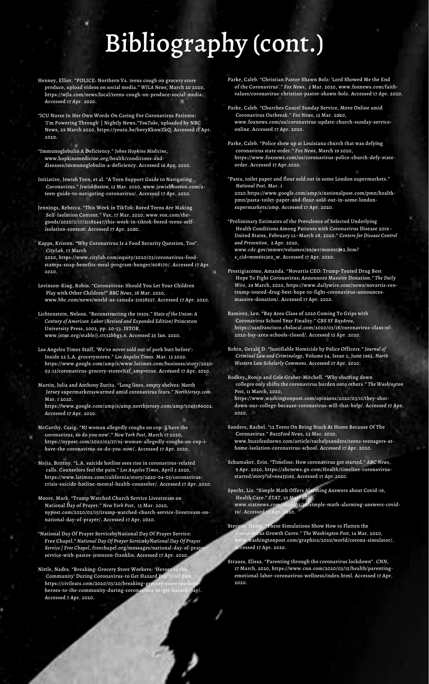# Bibliography (cont.)

- Henney, Elliot. "POLICE: Northern Va. teens cough on grocery store produce, upload videos on social media." *WJLA News*, March 20 2020, https://wjla.com/news/local/teens-cough-on-produce-social-media. Accessed 17 Apr. 2020.
- "ICU Nurse In Her Own Words On Caring For Coronavirus Patients: 'I'm Powering Through' | Nightly News."*YouTube*, uploaded by NBC News, 29 March 2020, https://youtu.be/bnvyKknwZkQ. Accessed 11 Apr. 2020.
- "Immunoglobulin A Deficiency." *Johns Hopkins Medicine*, www.hopkinsmedicine.org/health/conditions-anddiseases/immunoglobulin-a-deficiency. Accessed 16 Apr. 2020.
- Initiative, Jewish Teen, et al. "A Teen Support Guide to Navigating Coronavirus." *JewishBoston,* 13 Mar. 2020, www.jewishboston.com/ateen-guide-to-navigating-coronavirus/. Accessed 17 Apr. 2020.
- Jennings, Rebecca. "This Week in TikTok: Bored Teens Are Making Self-Isolation Content." *Vox*, 17 Mar. 2020, www.vox.com/thegoods/2020/3/17/21182447/this-week-in-tiktok-bored-teens-selfisolation-content. Accessed 17 Apr. 2020.
- Kapps, Kristen. "Why Coronavirus Is a Food Security Question, Too". *CityLab*, 17 March
	- 2020, https://www.citylab.com/equity/2020/03/coronavirus-foodstamps-snap-benefits-meal-program-hunger/608170/. Accessed 17 Apr. 2020.
- Levinson-King, Robin. "Coronavirus: Should You Let Your Children Play with Other Children?" *BBC News*, 18 Mar. 2020, www.bbc.com/news/world-us-canada-51938537. Accessed 17 Apr. 2020.
- Lichtenstein, Nelson. "Reconstructing the 1930s." *State of the Union: A Century of American Labor (Revised and Expanded Edition)* Princeton University Press, 2002, pp. 20-53. JSTOR, www.jstor.org/stable/j.ctt32bbg3.6. Accessed 25 Jan. 2020.
- Los Angeles Times Staff, 'We've never sold out of pork butt before': Inside 22 L.A. grocerystores." *Los Angeles Times*. Mar. 13 2020. https://www.google.com/amp/s/www.latimes.com/business/story/2020- 03-13/coronavirus-grocery-stores%3f\_amp=true. Accessed 17 Apr. 2020.

https://www.google.com/amp/s/amp.northjersey.com/amp/5043386002. Accessed 17 Apr. 2020.

- McCarthy, Craig. "NJ woman allegedly coughs on cop: 'I have the coronavirus, so do you now'." *New York Post*, March 17 2020, https://nypost.com/2020/03/17/nj-woman-allegedly-coughs-on-cop-ihave-the-coronavirus-so-do-you-now/. Accessed 17 Apr. 2020.
- Mejia, Brittny. "L.A. suicide hotline sees rise in coronavirus-related calls. Counselors feel the pain." *Los Angeles Times*, April 5 2020, https://www.latimes.com/california/story/2020-04-05/coronaviruscrisis-suicide-hotline-mental-health-counselor/. Accessed 17 Apr. 2020.
- Moore, Mark. "Trump Watched Church Service Livestream on National Day of Prayer." *New York Post*, 15 Mar. 2020, nypost.com/2020/03/15/trump-watched-church-service-livestream-onnational-day-of-prayer/. Accessed 17 Apr. 2020.
- "National Day Of Prayer ServicebyNational Day Of Prayer Service: Free Chapel." *National Day Of Prayer ServicebyNational Day Of Prayer Service | Free Chapel*, freechapel.org/messages/national-day-of-prayerservice-with-pastor-jentezen-franklin. Accessed 17 Apr. 2020.
- Nittle, Nadra. "Breaking: Grocery Store Workers- 'Heroes to the Community' During Coronavirus-to Get Hazard Pay" *Civil Eats*, https://civileats.com/2020/03/20/breaking-grocery-store-worl heroes-to-the-community-during-coronavirus-to-get-hazard-pay/. Accessed 7 Apr. 2020.

- "Preliminary Estimates of the Prevalence of Selected Underlying Health Conditions Among Patients with Coronavirus Disease 2019 - United States, February 12–March 28, 2020." *Centers for Disease Control and Prevention*, 2 Apr. 2020, www.cdc.gov/mmwr/volumes/69/wr/mm6913e2.htm?
- s\_cid=mm6913e2\_w. Accessed 17 Apr. 2020.
- Prestigiacomo, Amanda. "Novartis CEO: Trump-Touted Drug Best Hope To Fight Coronavirus; Announces Massive Donation." *The Daily Wire*, 29 March, 2020, https://www.dailywire.com/news/novartis-ceotrump-touted-drug-best-hope-to-fight-coronavirus-announcesmassive-donation/. Accessed 17 Apr. 2020.
- Ramirez, Len. "Bay Area Class of 2020 Coming To Grips with Coronavirus School Year Finality." *CBS SF BayArea*, https://sanfrancisco.cbslocal.com/2020/03/18/coronavirus-class-of-2020-bay-area-schools-closed/. Accessed 15 Apr. 2020.
- Robin, Gerald D. "Justifiable Homicide by Police Officers." *Journal of Criminal Law and Criminology*, Volume 54, Issue 2, June 1963, *North Western Law Scholarly Commons*. Accessed 17 Apr. 2020.
- Martin, Julia and Anthony Zurita. "Long lines, empty shelves: North Jersey supermarketsswarmed amid coronavirus fears." *NorthJersey.com*. Mar. 1 2020.

Parke, Caleb. "Christian Pastor Shawn Bolz: 'Lord Showed Me the End of the Coronavirus'." *Fox News*, 3 Mar. 2020, www.foxnews.com/faithvalues/coronavirus-christian-pastor-shawn-bolz. Accessed 17 Apr. 2020.

Parke, Caleb. "Churches Cancel Sunday Service, Move Online amid Coronavirus Outbreak." *Fox News*, 13 Mar. 2020, www.foxnews.com/us/coronavirus-update-church-sunday-serviceonline. Accessed 17 Apr. 2020.

Parke, Caleb. "Police show up at Louisiana church that was defying coronavirus state order." *Fox News*, March 19 2020, https://www.foxnews.com/us/coronavirus-police-church-defy-stateorder. Accessed 17 Apr.2020.

"Pasta, toilet paper and flour sold out in some London supermarkets." *National Post*. Mar. 1

2020.https://www.google.com/amp/s/nationalpost.com/pmn/healthpmn/pasta-toilet-paper-and-flour-sold-out-in-some-londonsupermarkets/amp. Accessed 17 Apr. 2020.

Rodkey, Ronin and Cole Graber-Mitchell. "Why shutting down colleges only shifts the coronavirus burden onto others." *The Washington Post*, 11 March, 2020,

https://www.washingtonpost.com/opinions/2020/03/11/they-shutdown-our-college-because-coronavirus-will-that-help/. Accessed 17 Apr. 2020.

- Sanders, Rachel. "12 Teens On Being Stuck At Home Because Of The Coronavirus." *BuzzFeed News*, 23 Mar. 2020, www.buzzfeednews.com/article/rachelysanders/teens-teenagers-athome-isolation-coronavirus-school. Accessed 17 Apr. 2020.
- Schumaker, Erin. "Timeline: How coronavirus got started." *ABC News*, 9 Apr. 2020, https://abcnews.go.com/Health/timeline-coronavirusstarted/story?id=69435165. Accessed 17 Apr.2020.
- Specht, Liz. "Simple Math Offers Alarming Answers about Covid-19, Health Care." *STAT*, 10 Mar. 2020, www.statnews.com/2020/03/10/simple-math-alarming-answers-covid-19/. Accessed 17 Apr. 2020.
- Stevens, Harry. "These Simulations Show How to Flatten the Coronavirus Growth Curve." *The Washington Post*, 14 Mar. 2020, www.washingtonpost.com/graphics/2020/world/corona-simulator/. Accessed 17 Apr. 2020.
- Strauss, Elissa. "Parenting through the coronavirus lockdown". *CNN*, 17 March, 2020, https://www.cnn.com/2020/03/15/health/parentingemotional-labor-coronavirus-wellness/index.html. Accessed 17 Apr. 2020.